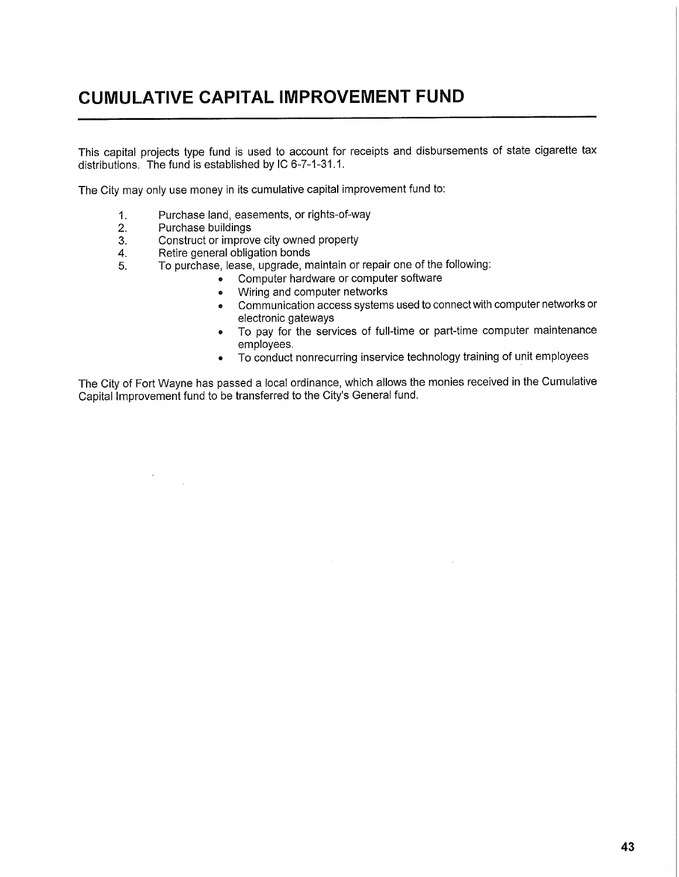## **CUMULATIVE CAPITAL IMPROVEMENT FUND**

This capital projects type fund is used to account for receipts and disbursements of state cigarette tax distributions. The fund is established by IC 6-7-1-31.1.

The City may only use money in its cumulative capital improvement fund to:

- 1. Purchase land, easements, or rights-of-way
- 2. Purchase buildings

 $\bar{\lambda}$ 

 $\sim 10^6$ 

- 3. Construct or improve city owned property
- 4. Retire general obligation bonds
- 5. To purchase, lease, upgrade, maintain or repair one of the following:
	- Computer hardware or computer software
	- » Wiring and computer networks
	- **e** Communication access systems used to connect with computer networks or electronic gateways
	- To pay for the services of full-time or part-time computer maintenance employees.
	- « To conduct nonrecurring inservice technology training of unit employees

The City of Fort Wayne has passed a local ordinance, which allows the monies received in the Cumulative Capital Improvement fund to be transferred to the City's General fund.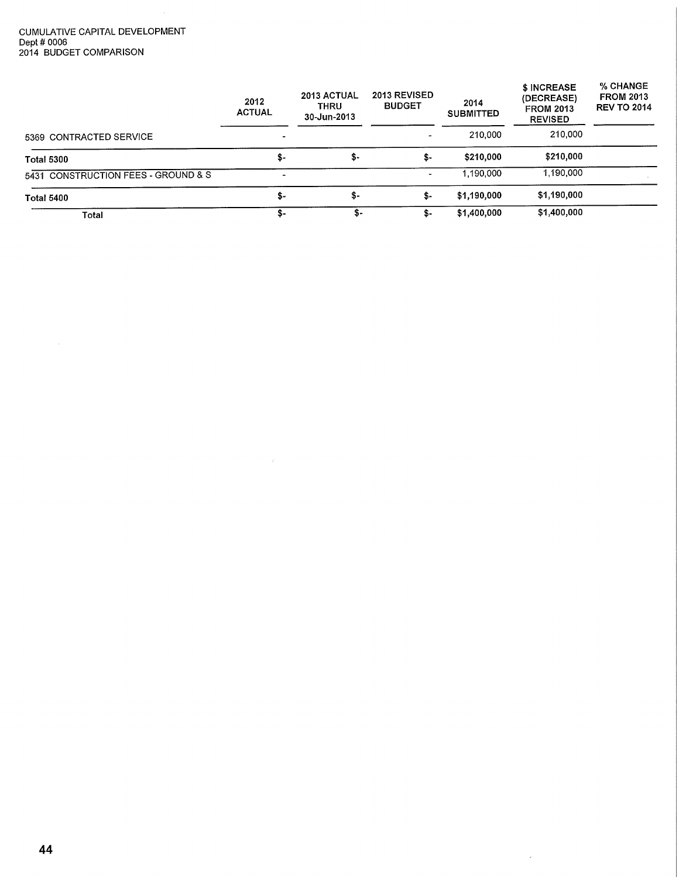## CUMULATIVE CAPITAL DEVELOPMENT Dept # 0006 2014 BUDGET COMPARISON

 $\sim 10$ 

|                                     | 2012<br><b>ACTUAL</b>    | 2013 ACTUAL<br><b>THRU</b><br>30-Jun-2013 | 2013 REVISED<br><b>BUDGET</b> | 2014<br><b>SUBMITTED</b> | \$ INCREASE<br>(DECREASE)<br><b>FROM 2013</b><br><b>REVISED</b> | % CHANGE<br><b>FROM 2013</b><br><b>REV TO 2014</b> |
|-------------------------------------|--------------------------|-------------------------------------------|-------------------------------|--------------------------|-----------------------------------------------------------------|----------------------------------------------------|
| 5369 CONTRACTED SERVICE             |                          |                                           |                               | 210,000                  | 210,000                                                         |                                                    |
| <b>Total 5300</b>                   | \$-                      | \$-                                       | \$-                           | \$210,000                | \$210,000                                                       |                                                    |
| 5431 CONSTRUCTION FEES - GROUND & S | $\overline{\phantom{0}}$ |                                           | $\blacksquare$                | 1,190,000                | 1,190,000                                                       |                                                    |
| <b>Total 5400</b>                   | \$-                      | \$-                                       | \$-                           | \$1,190,000              | \$1,190,000                                                     |                                                    |
| Total                               | \$-                      | S-                                        | \$-                           | \$1,400,000              | \$1,400,000                                                     |                                                    |

 $\sim 10^{-11}$ 

 $\sim 10^6$